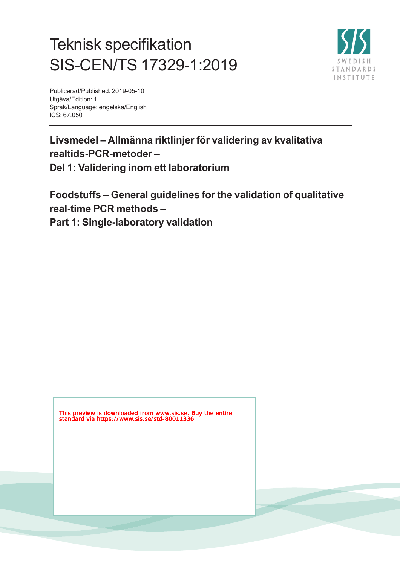# Teknisk specifikation SIS-CEN/TS 17329-1:2019



Publicerad/Published: 2019-05-10 Utgåva/Edition: 1 Språk/Language: engelska/English ICS: 67.050

**Livsmedel – Allmänna riktlinjer för validering av kvalitativa realtids-PCR-metoder – Del 1: Validering inom ett laboratorium**

**Foodstuffs – General guidelines for the validation of qualitative real-time PCR methods –** 

**Part 1: Single-laboratory validation**

This preview is downloaded from www.sis.se. Buy the entire standard via https://www.sis.se/std-80011336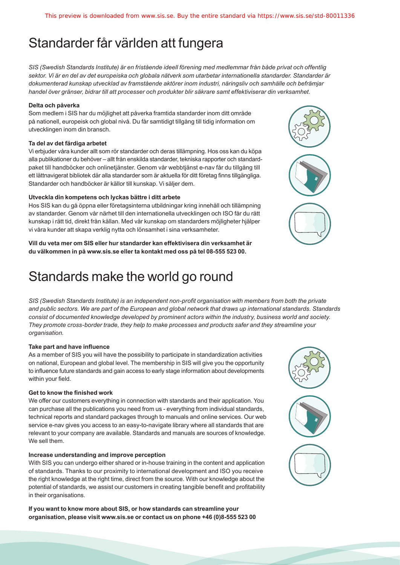# Standarder får världen att fungera

*SIS (Swedish Standards Institute) är en fristående ideell förening med medlemmar från både privat och offentlig sektor. Vi är en del av det europeiska och globala nätverk som utarbetar internationella standarder. Standarder är dokumenterad kunskap utvecklad av framstående aktörer inom industri, näringsliv och samhälle och befrämjar handel över gränser, bidrar till att processer och produkter blir säkrare samt effektiviserar din verksamhet.* 

#### **Delta och påverka**

Som medlem i SIS har du möjlighet att påverka framtida standarder inom ditt område på nationell, europeisk och global nivå. Du får samtidigt tillgång till tidig information om utvecklingen inom din bransch.

#### **Ta del av det färdiga arbetet**

Vi erbjuder våra kunder allt som rör standarder och deras tillämpning. Hos oss kan du köpa alla publikationer du behöver – allt från enskilda standarder, tekniska rapporter och standardpaket till handböcker och onlinetjänster. Genom vår webbtjänst e-nav får du tillgång till ett lättnavigerat bibliotek där alla standarder som är aktuella för ditt företag finns tillgängliga. Standarder och handböcker är källor till kunskap. Vi säljer dem.

#### **Utveckla din kompetens och lyckas bättre i ditt arbete**

Hos SIS kan du gå öppna eller företagsinterna utbildningar kring innehåll och tillämpning av standarder. Genom vår närhet till den internationella utvecklingen och ISO får du rätt kunskap i rätt tid, direkt från källan. Med vår kunskap om standarders möjligheter hjälper vi våra kunder att skapa verklig nytta och lönsamhet i sina verksamheter.

**Vill du veta mer om SIS eller hur standarder kan effektivisera din verksamhet är du välkommen in på www.sis.se eller ta kontakt med oss på tel 08-555 523 00.**

# Standards make the world go round

*SIS (Swedish Standards Institute) is an independent non-profit organisation with members from both the private and public sectors. We are part of the European and global network that draws up international standards. Standards consist of documented knowledge developed by prominent actors within the industry, business world and society. They promote cross-border trade, they help to make processes and products safer and they streamline your organisation.*

#### **Take part and have influence**

As a member of SIS you will have the possibility to participate in standardization activities on national, European and global level. The membership in SIS will give you the opportunity to influence future standards and gain access to early stage information about developments within your field.

#### **Get to know the finished work**

We offer our customers everything in connection with standards and their application. You can purchase all the publications you need from us - everything from individual standards, technical reports and standard packages through to manuals and online services. Our web service e-nav gives you access to an easy-to-navigate library where all standards that are relevant to your company are available. Standards and manuals are sources of knowledge. We sell them.

#### **Increase understanding and improve perception**

With SIS you can undergo either shared or in-house training in the content and application of standards. Thanks to our proximity to international development and ISO you receive the right knowledge at the right time, direct from the source. With our knowledge about the potential of standards, we assist our customers in creating tangible benefit and profitability in their organisations.

**If you want to know more about SIS, or how standards can streamline your organisation, please visit www.sis.se or contact us on phone +46 (0)8-555 523 00**



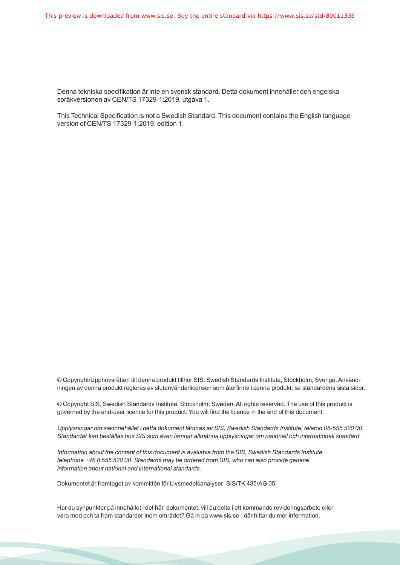Denna tekniska specifikation är inte en svensk standard. Detta dokument innehåller den engelska språkversionen av CEN/TS 17329-1:2019, utgåva 1.

This Technical Specification is not a Swedish Standard. This document contains the English language version of CEN/TS 17329-1:2019, edition 1.

© Copyright/Upphovsrätten till denna produkt tillhör SIS, Swedish Standards Institute, Stockholm, Sverige. Användningen av denna produkt regleras av slutanvändarlicensen som återfinns i denna produkt, se standardens sista sidor.

© Copyright SIS, Swedish Standards Institute, Stockholm, Sweden. All rights reserved. The use of this product is governed by the end-user licence for this product. You will find the licence in the end of this document.

*Upplysningar om sakinnehållet i detta dokument lämnas av SIS, Swedish Standards Institute, telefon 08-555 520 00. Standarder kan beställas hos SIS som även lämnar allmänna upplysningar om nationell och internationell standard.*

*Information about the content of this document is available from the SIS, Swedish Standards Institute, telephone +46 8 555 520 00. Standards may be ordered from SIS, who can also provide general information about national and international standards.*

Dokumentet är framtaget av kommittén för Livsmedelsanalyser, SIS/TK 435/AG 05.

Har du synpunkter på innehållet i det här dokumentet, vill du delta i ett kommande revideringsarbete eller vara med och ta fram standarder inom området? Gå in på www.sis.se - där hittar du mer information.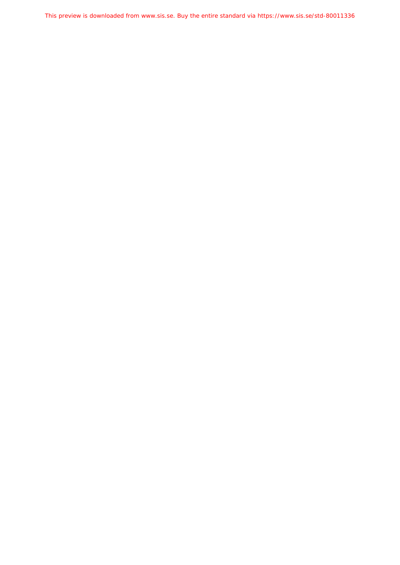This preview is downloaded from www.sis.se. Buy the entire standard via https://www.sis.se/std-80011336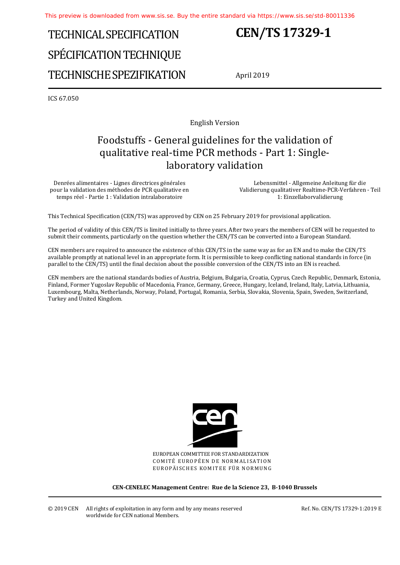# TECHNICAL SPECIFICATION SPÉCIFICATION TECHNIQUE TECHNISCHE SPEZIFIKATION

# **CEN/TS 17329-1**

April 2019

ICS 67.050

English Version

## Foodstuffs - General guidelines for the validation of qualitative real-time PCR methods - Part 1: Singlelaboratory validation

Denrées alimentaires - Lignes directrices générales pour la validation des méthodes de PCR qualitative en temps réel - Partie 1 : Validation intralaboratoire

 Lebensmittel - Allgemeine Anleitung für die Validierung qualitativer Realtime-PCR-Verfahren - Teil 1: Einzellaborvalidierung

This Technical Specification (CEN/TS) was approved by CEN on 25 February 2019 for provisional application.

The period of validity of this CEN/TS is limited initially to three years. After two years the members of CEN will be requested to submit their comments, particularly on the question whether the CEN/TS can be converted into a European Standard.

CEN members are required to announce the existence of this CEN/TS in the same way as for an EN and to make the CEN/TS available promptly at national level in an appropriate form. It is permissible to keep conflicting national standards in force (in parallel to the CEN/TS) until the final decision about the possible conversion of the CEN/TS into an EN is reached.

CEN members are the national standards bodies of Austria, Belgium, Bulgaria, Croatia, Cyprus, Czech Republic, Denmark, Estonia, Finland, Former Yugoslav Republic of Macedonia, France, Germany, Greece, Hungary, Iceland, Ireland, Italy, Latvia, Lithuania, Luxembourg, Malta, Netherlands, Norway, Poland, Portugal, Romania, Serbia, Slovakia, Slovenia, Spain, Sweden, Switzerland, Turkey and United Kingdom.



EUROPEAN COMMITTEE FOR STANDARDIZATION COMITÉ EUROPÉEN DE NORMALISATION EUROPÄISCHES KOMITEE FÜR NORMUNG

**CEN-CENELEC Management Centre: Rue de la Science 23, B-1040 Brussels**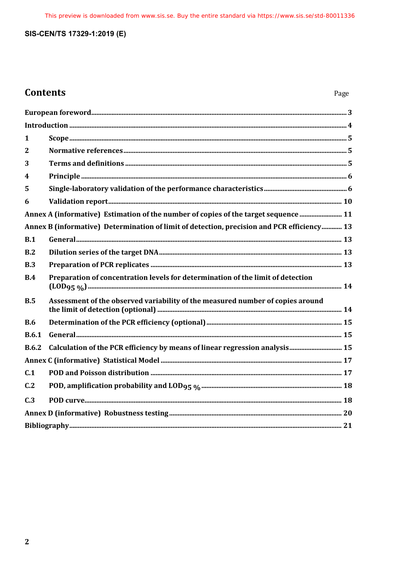## **Contents**

| 1               |                                                                                            |  |
|-----------------|--------------------------------------------------------------------------------------------|--|
| $\overline{2}$  |                                                                                            |  |
| 3               |                                                                                            |  |
| 4               |                                                                                            |  |
| 5               |                                                                                            |  |
| 6               |                                                                                            |  |
|                 | Annex A (informative) Estimation of the number of copies of the target sequence  11        |  |
|                 | Annex B (informative) Determination of limit of detection, precision and PCR efficiency 13 |  |
| B.1             |                                                                                            |  |
| B.2             |                                                                                            |  |
| B.3             |                                                                                            |  |
| B.4             | Preparation of concentration levels for determination of the limit of detection            |  |
| B.5             | Assessment of the observed variability of the measured number of copies around             |  |
| <b>B.6</b>      |                                                                                            |  |
| <b>B.6.1</b>    |                                                                                            |  |
| B.6.2           | Calculation of the PCR efficiency by means of linear regression analysis 15                |  |
|                 |                                                                                            |  |
| C.1             |                                                                                            |  |
| C <sub>12</sub> |                                                                                            |  |
| C <sub>13</sub> |                                                                                            |  |
|                 |                                                                                            |  |
|                 |                                                                                            |  |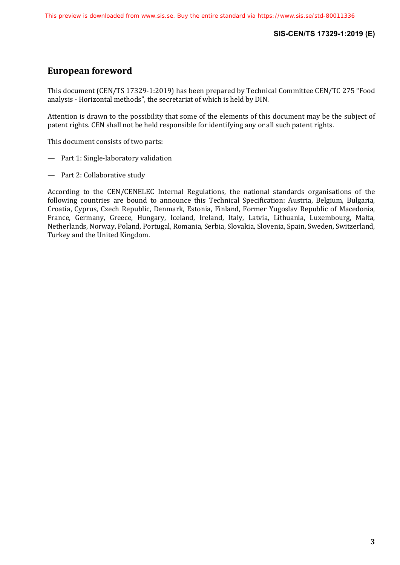## **European foreword**

This document (CEN/TS 17329-1:2019) has been prepared by Technical Committee CEN/TC 275 "Food analysis - Horizontal methods", the secretariat of which is held by DIN.

Attention is drawn to the possibility that some of the elements of this document may be the subject of patent rights. CEN shall not be held responsible for identifying any or all such patent rights.

This document consists of two parts:

- Part 1: Single-laboratory validation
- Part 2: Collaborative study

According to the CEN/CENELEC Internal Regulations, the national standards organisations of the following countries are bound to announce this Technical Specification: Austria, Belgium, Bulgaria, Croatia, Cyprus, Czech Republic, Denmark, Estonia, Finland, Former Yugoslav Republic of Macedonia, France, Germany, Greece, Hungary, Iceland, Ireland, Italy, Latvia, Lithuania, Luxembourg, Malta, Netherlands, Norway, Poland, Portugal, Romania, Serbia, Slovakia, Slovenia, Spain, Sweden, Switzerland, Turkey and the United Kingdom.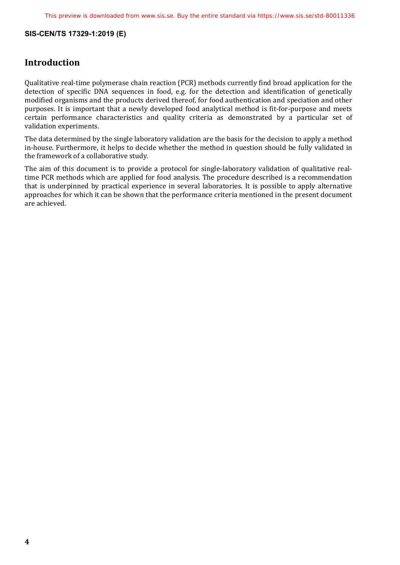## **Introduction**

Qualitative real-time polymerase chain reaction (PCR) methods currently find broad application for the detection of specific DNA sequences in food, e.g. for the detection and identification of genetically modified organisms and the products derived thereof, for food authentication and speciation and other purposes. It is important that a newly developed food analytical method is fit-for-purpose and meets certain performance characteristics and quality criteria as demonstrated by a particular set of validation experiments.

The data determined by the single laboratory validation are the basis for the decision to apply a method in-house. Furthermore, it helps to decide whether the method in question should be fully validated in the framework of a collaborative study.

The aim of this document is to provide a protocol for single-laboratory validation of qualitative realtime PCR methods which are applied for food analysis. The procedure described is a recommendation that is underpinned by practical experience in several laboratories. It is possible to apply alternative approaches for which it can be shown that the performance criteria mentioned in the present document are achieved.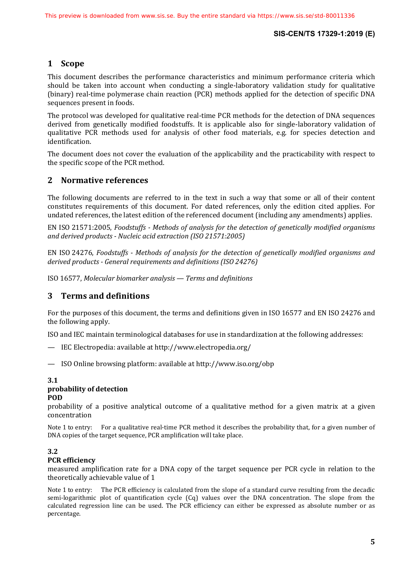### **1 Scope**

This document describes the performance characteristics and minimum performance criteria which should be taken into account when conducting a single-laboratory validation study for qualitative (binary) real-time polymerase chain reaction (PCR) methods applied for the detection of specific DNA sequences present in foods.

The protocol was developed for qualitative real-time PCR methods for the detection of DNA sequences derived from genetically modified foodstuffs. It is applicable also for single-laboratory validation of qualitative PCR methods used for analysis of other food materials, e.g. for species detection and identification.

The document does not cover the evaluation of the applicability and the practicability with respect to the specific scope of the PCR method.

#### **2 Normative references**

The following documents are referred to in the text in such a way that some or all of their content constitutes requirements of this document. For dated references, only the edition cited applies. For undated references, the latest edition of the referenced document (including any amendments) applies.

EN ISO 21571:2005, *Foodstuffs - Methods of analysis for the detection of genetically modified organisms and derived products - Nucleic acid extraction (ISO 21571:2005)*

EN ISO 24276, *Foodstuffs - Methods of analysis for the detection of genetically modified organisms and derived products - General requirements and definitions (ISO 24276)*

ISO 16577, *Molecular biomarker analysis — Terms and definitions*

## **3 Terms and definitions**

For the purposes of this document, the terms and definitions given in ISO 16577 and EN ISO 24276 and the following apply.

ISO and IEC maintain terminological databases for use in standardization at the following addresses:

- IEC Electropedia: available at http://www.electropedia.org/
- ISO Online browsing platform: available at http://www.iso.org/obp

#### **3.1**

## **probability of detection**

#### **POD**

probability of a positive analytical outcome of a qualitative method for a given matrix at a given concentration

Note 1 to entry: For a qualitative real-time PCR method it describes the probability that, for a given number of DNA copies of the target sequence, PCR amplification will take place.

#### **3.2**

#### **PCR efficiency**

measured amplification rate for a DNA copy of the target sequence per PCR cycle in relation to the theoretically achievable value of 1

Note 1 to entry: The PCR efficiency is calculated from the slope of a standard curve resulting from the decadic semi-logarithmic plot of quantification cycle (Cq) values over the DNA concentration. The slope from the calculated regression line can be used. The PCR efficiency can either be expressed as absolute number or as percentage.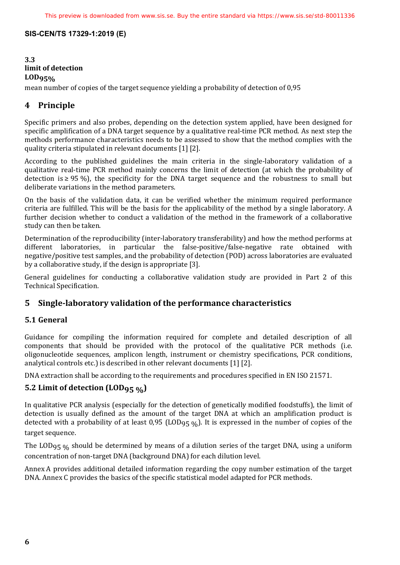#### **3.3 limit of detection LOD95%**

mean number of copies of the target sequence yielding a probability of detection of 0,95

## **4 Principle**

Specific primers and also probes, depending on the detection system applied, have been designed for specific amplification of a DNA target sequence by a qualitative real-time PCR method. As next step the methods performance characteristics needs to be assessed to show that the method complies with the quality criteria stipulated in relevant documents [1] [2].

According to the published guidelines the main criteria in the single-laboratory validation of a qualitative real-time PCR method mainly concerns the limit of detection (at which the probability of detection is  $\geq$  95 %), the specificity for the DNA target sequence and the robustness to small but deliberate variations in the method parameters.

On the basis of the validation data, it can be verified whether the minimum required performance criteria are fulfilled. This will be the basis for the applicability of the method by a single laboratory. A further decision whether to conduct a validation of the method in the framework of a collaborative study can then be taken.

Determination of the reproducibility (inter-laboratory transferability) and how the method performs at different laboratories, in particular the false-positive/false-negative rate obtained with negative/positive test samples, and the probability of detection (POD) across laboratories are evaluated by a collaborative study, if the design is appropriate [3].

General guidelines for conducting a collaborative validation study are provided in Part 2 of this Technical Specification.

## **5 Single-laboratory validation of the performance characteristics**

#### **5.1 General**

Guidance for compiling the information required for complete and detailed description of all components that should be provided with the protocol of the qualitative PCR methods (i.e. oligonucleotide sequences, amplicon length, instrument or chemistry specifications, PCR conditions, analytical controls etc.) is described in other relevant documents [1] [2].

DNA extraction shall be according to the requirements and procedures specified in EN ISO 21571.

## **5.2 Limit of detection (LOD95 %)**

In qualitative PCR analysis (especially for the detection of genetically modified foodstuffs), the limit of detection is usually defined as the amount of the target DNA at which an amplification product is detected with a probability of at least  $0.95$  (LOD<sub>95 %</sub>). It is expressed in the number of copies of the target sequence.

The LOD<sub>95 %</sub> should be determined by means of a dilution series of the target DNA, using a uniform concentration of non-target DNA (background DNA) for each dilution level.

Annex A provides additional detailed information regarding the copy number estimation of the target DNA. Annex C provides the basics of the specific statistical model adapted for PCR methods.